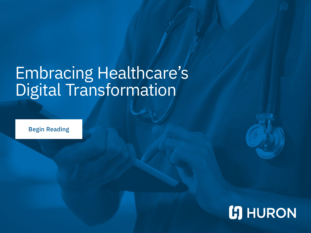# Embracing Healthcare's Digital Transformation

Begin Reading

# **[5] HURON**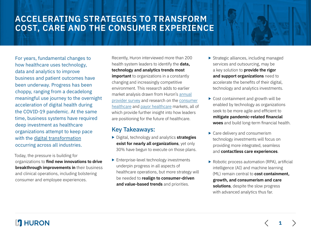# **ACCELERATING STRATEGIES TO TRANSFORM COST, CARE AND THE CONSUMER EXPERIENCE**

For years, fundamental changes to how healthcare uses technology, data and analytics to improve business and patient outcomes have been underway. Progress has been choppy, ranging from a decadelong meaningful use journey to the overnight acceleration of digital health during the COVID-19 pandemic. At the same time, business systems have required deep investment as healthcare organizations attempt to keep pace with the [digital transformation](https://www.huronconsultinggroup.com/insights/sustainable-digital-transformation) occurring across all industries.

Today, the pressure is building for organizations to **find new innovations to drive breakthrough improvements in** their business and clinical operations, including bolstering consumer and employee experiences.

Recently, Huron interviewed more than 200 health system leaders to identify the **data, technology and analytics trends most important** to organizations in a constantly changing and increasingly competitive environment. This research adds to earlier market analysis drawn from Huron's [annual](https://www.huronconsultinggroup.com/insights/huron-2021-healthcare-executive-research) [provider survey](https://www.huronconsultinggroup.com/insights/huron-2021-healthcare-executive-research) and research on the [consumer](https://www.huronconsultinggroup.com/insights/healthcare-consumer-market-report) [healthcare](https://www.huronconsultinggroup.com/insights/healthcare-consumer-market-report) and [payor healthcare](https://www.huronconsultinggroup.com/insights/payor-research-analysis) markets, all of which provide further insight into how leaders are positioning for the future of healthcare.

#### Key Takeaways:

- ▶ Digital, technology and analytics **strategies exist for nearly all organizations**, yet only 30% have begun to execute on those plans.
- ▶ Enterprise-level technology investments underpin progress in all aspects of healthcare operations, but more strategy will be needed to **realign to consumer-driven and value-based trends** and priorities.
- ▶ Strategic alliances, including managed services and outsourcing, may be a key solution to **provide the rigor and support organizations** need to accelerate the benefits of their digital, technology and analytics investments.
- ▶ Cost containment and growth will be enabled by technology as organizations seek to be more agile and efficient to **mitigate pandemic-related financial woes** and build long-term financial health.
- ▶ Care delivery and consumerism technology investments will focus on providing more integrated, seamless and **contactless care experiences**.
- ▶ Robotic process automation (RPA), artificial intelligence (AI) and machine learning (ML) remain central to **cost containment, growth, and consumerism and care solutions**, despite the slow progress with advanced analytics thus far.

**1**

### **17 HURON**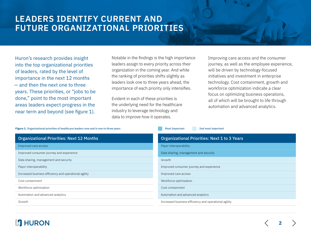# **LEADERS IDENTIFY CURRENT AND FUTURE ORGANIZATIONAL PRIORITIES**

Huron's research provides insight into the top organizational priorities of leaders, rated by the level of importance in the next 12 months — and then the next one to three years. These priorities, or "jobs to be done," point to the most important areas leaders expect progress in the near term and beyond (see figure 1).

Notable in the findings is the high importance leaders assign to every priority across their organization in the coming year. And while the ranking of priorities shifts slightly as leaders look one to three years ahead, the importance of each priority only intensifies.

Evident in each of these priorities is the underlying need for the healthcare industry to leverage technology and data to improve how it operates.

**Figure 1.** Organizational priorities of healthcare leaders now and in one to three years Most Important 2nd most important 2nd most important

Improving care access and the consumer journey, as well as the employee experience, will be driven by technology-focused initiatives and investment in enterprise technology. Cost containment, growth and workforce optimization indicate a clear focus on optimizing business operations, all of which will be brought to life through automation and advanced analytics.

| <b>Organizational Priorities: Next 12 Months</b>      | <b>Organizational Priorities: Next 1 to 3 Years</b>   |
|-------------------------------------------------------|-------------------------------------------------------|
| Improved care access                                  | Payor interoperability                                |
| Improved consumer journey and experience              | Data sharing, management and security                 |
| Data sharing, management and security                 | Growth                                                |
| Payor interoperability                                | Improved consumer journey and experience              |
| Increased business efficiency and operational agility | Improved care access                                  |
| Cost containment                                      | Workforce optimization                                |
| Workforce optimization                                | Cost containment                                      |
| Automation and advanced analytics                     | Automation and advanced analytics                     |
| Growth                                                | Increased business efficiency and operational agility |

### **17 HURON**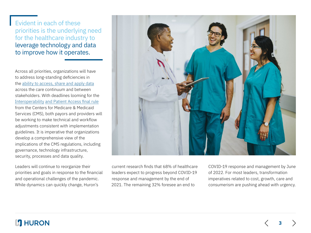Evident in each of these priorities is the underlying need for the healthcare industry to leverage technology and data to improve how it operates.

Across all priorities, organizations will have to address long-standing deficiencies in the [ability to access, share and apply data](https://www.huronconsultinggroup.com/insights/healthcare-enterprise-data-management) across the care continuum and between stakeholders. With deadlines looming for the Interoperability [and Patient Access final rule](https://www.cms.gov/Regulations-and-Guidance/Guidance/Interoperability/index) from the Centers for Medicare & Medicaid Services (CMS), both payors and providers will be working to make technical and workflow adjustments consistent with implementation guidelines. It is imperative that organizations develop a comprehensive view of the implications of the CMS regulations, including governance, technology infrastructure, security, processes and data quality.

Leaders will continue to reorganize their priorities and goals in response to the financial and operational challenges of the pandemic. While dynamics can quickly change, Huron's



current research finds that 68% of healthcare leaders expect to progress beyond COVID-19 response and management by the end of 2021. The remaining 32% foresee an end to

COVID-19 response and management by June of 2022. For most leaders, transformation imperatives related to cost, growth, care and consumerism are pushing ahead with urgency.

**3**

### **L'I** HURON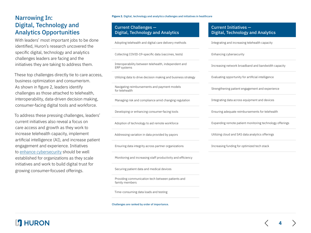#### Narrowing In: Digital, Technology and Analytics Opportunities

With leaders' most important jobs to be done identified, Huron's research uncovered the specific digital, technology and analytics challenges leaders are facing and the initiatives they are taking to address them.

These top challenges directly tie to care access, business optimization and consumerism. As shown in figure 2, leaders identify challenges as those attached to telehealth, interoperability, data-driven decision making, consumer-facing digital tools and workforce.

To address these pressing challenges, leaders' current initiatives also reveal a focus on care access and growth as they work to increase telehealth capacity, implement artificial intelligence (AI), and increase patient engagement and experience. Initiatives to [enhance cybersecurity](https://www.huronconsultinggroup.com/insights/healthcare-cybersecurity-awareness-to-action) should be well established for organizations as they scale initiatives and work to build digital trust for growing consumer-focused offerings.

**Figure 2.** Digital, technology and analytics challenges and initiatives in healthcare

#### Current Challenges — Digital, Technology and Analytics

Adopting telehealth and digital care delivery methods

#### Collecting COVID-19-specific data (vaccines, tests)

Interoperability between telehealth, independent and ERP systems

Utilizing data to drive decision making and business strategy

Navigating reimbursements and payment models for telehealth

Managing risk and compliance amid changing regulation

Developing or enhancing consumer-facing tools

Adoption of technology to aid remote workforce

Addressing variation in data provided by payors

Ensuring data integrity across partner organizations

Monitoring and increasing staff productivity and efficiency

Securing patient data and medical devices

Providing communication tech between patients and family members

Time-consuming data loads and testing

Challenges are ranked by order of importance.

#### Current Initiatives — Digital, Technology and Analytics

Integrating and increasing telehealth capacity

Enhancing cybersecurity

Increasing network broadband and bandwidth capacity

Evaluating opportunity for artificial intelligence

Strengthening patient engagement and experience

Integrating data across equipment and devices

Ensuring adequate reimbursements for telehealth

Expanding remote patient monitoring technology offerings

**4**

Utilizing cloud and SAS data analytics offerings

Increasing funding for optimized tech stack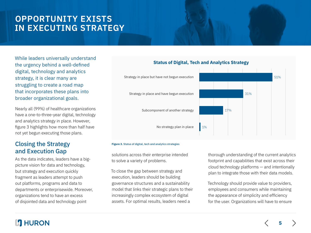# **OPPORTUNITY EXISTS IN EXECUTING STRATEGY**

While leaders universally understand the urgency behind a well-defined digital, technology and analytics strategy, it is clear many are struggling to create a road map that incorporates these plans into broader organizational goals.

Nearly all (99%) of healthcare organizations have a one-to-three-year digital, technology and analytics strategy in place. However, figure 3 highlights how more than half have not yet begun executing those plans.

#### Closing the Strategy and Execution Gap

As the data indicates, leaders have a bigpicture vision for data and technology, but strategy and execution quickly fragment as leaders attempt to push out platforms, programs and data to departments or enterprisewide. Moreover, organizations tend to have an excess of disjointed data and technology point



#### **Status of Digital, Tech and Analytics Strategy**

#### **Figure 3.** Status of digital, tech and analytics strategies

solutions across their enterprise intended to solve a variety of problems.

To close the gap between strategy and execution, leaders should be building governance structures and a sustainability model that links their strategic plans to their increasingly complex ecosystem of digital assets. For optimal results, leaders need a

thorough understanding of the current analytics footprint and capabilities that exist across their cloud technology platforms — and intentionally plan to integrate those with their data models.

Technology should provide value to providers, employees and consumers while maintaining the appearance of simplicity and efficiency for the user. Organizations will have to ensure

### **HURON**

**5**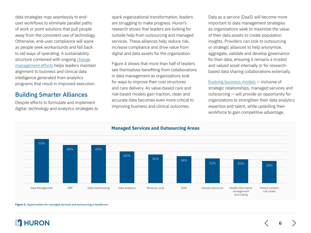data strategies map seamlessly to enduser workflows to eliminate parallel paths of work or point solutions that pull people away from the consistent use of technology. Otherwise, end-user compliance will wane as people seek workarounds and fall back to old ways of operating. A sustainability structure combined with ongoing [change](https://www.huronconsultinggroup.com/insights/change-management-core-leadership) [management efforts](https://www.huronconsultinggroup.com/insights/change-management-core-leadership) helps leaders maintain alignment to business and clinical data intelligence generated from analytics programs that result in improved execution.

#### Building Smarter Alliances

Despite efforts to formulate and implement digital, technology and analytics strategies to

spark organizational transformation, leaders are struggling to make progress. Huron's research shows that leaders are looking for outside help from outsourcing and managed services. These alliances help reduce risk, increase compliance and drive value from digital and data assets for the organization.

Figure 4 shows that more than half of leaders see themselves benefiting from collaborations in data management as organizations look for ways to improve their cost structures and care delivery. As value-based care and risk-based models gain traction, clean and accurate data becomes even more critical to improving business and clinical outcomes.

Data as a service (DaaS) will become more important to data management strategies as organizations seek to maximize the value of their data assets to create population insights. Providers can look to outsourcing or strategic alliances to help anonymize, aggregate, validate and develop governance for their data, ensuring it remains a trusted and valued asset internally or for researchbased data sharing collaborations externally.

[Evolving business models](https://www.huronconsultinggroup.com/insights/collaborations-essential-financial-future-healthcare) — inclusive of strategic relationships, managed services and outsourcing — will provide an opportunity for organizations to strengthen their data analytics expertise and talent, while upskilling their workforce to gain competitive advantage.



#### **Figure 4.** Opportunities for managed services and outsourcing in healthcare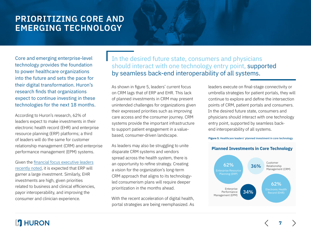# **PRIORITIZING CORE AND EMERGING TECHNOLOGY**

Core and emerging enterprise-level technology provides the foundation to power healthcare organizations into the future and sets the pace for their digital transformation. Huron's research finds that organizations expect to continue investing in these technologies for the next 18 months.

According to Huron's research, 62% of leaders expect to make investments in their electronic health record (EHR) and enterprise resource planning (ERP) platforms; a third of leaders will do the same for customer relationship management (CRM) and enterprise performance management (EPM) systems.

Given the [financial focus executive leaders](https://www.huronconsultinggroup.com/insights/huron-2021-healthcare-executive-research) [recently noted](https://www.huronconsultinggroup.com/insights/huron-2021-healthcare-executive-research), it is expected that ERP will garner a large investment. Similarly, EHR investments are high, given priorities related to business and clinical efficiencies, payor interoperability, and improving the consumer and clinician experience.

In the desired future state, consumers and physicians should interact with one technology entry point, supported by seamless back-end interoperability of all systems.

As shown in figure 5, leaders' current focus on CRM lags that of ERP and EHR. This lack of planned investments in CRM may present unintended challenges for organizations given their expressed priorities such as improving care access and the consumer journey. CRM systems provide the important infrastructure to support patient engagement in a valuebased, consumer-driven landscape.

As leaders may also be struggling to unite disparate CRM systems and vendors spread across the health system, there is an opportunity to refine strategy. Creating a vision for the organization's long-term CRM approach that aligns to its technologyled consumerism plans will require deeper prioritization in the months ahead.

With the recent acceleration of digital health, portal strategies are being reemphasized. As leaders execute on final-stage connectivity or umbrella strategies for patient portals, they will continue to explore and define the intersection points of CRM, patient portals and consumers. In the desired future state, consumers and physicians should interact with one technology entry point, supported by seamless backend interoperability of all systems.

**Figure 5.** Healthcare leaders' planned investment in core technology



**7**

#### **Planned Investments in Core Technology**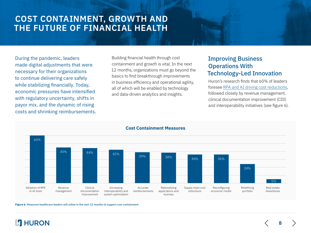# **COST CONTAINMENT, GROWTH AND THE FUTURE OF FINANCIAL HEALTH**

During the pandemic, leaders made digital adjustments that were necessary for their organizations to continue delivering care safely while stabilizing financially. Today, economic pressures have intensified with regulatory uncertainty, shifts in payor mix, and the dynamic of rising costs and shrinking reimbursements.

Building financial health through cost containment and growth is vital. In the next 12 months, organizations must go beyond the basics to find breakthrough improvements in business efficiency and operational agility, all of which will be enabled by technology and data-driven analytics and insights.

### Improving Business Operations With Technology-Led Innovation

Huron's research finds that 60% of leaders foresee [RPA and AI driving cost reductions](https://www.huronconsultinggroup.com/insights/ohsu-automation-increase-revenue-cycle-efficiency), followed closely by revenue management, clinical documentation improvement (CDI) and interoperability initiatives (see figure 6).

**8**



**Figure 6.** Measures healthcare leaders will utilize in the next 12 months to support cost containment

## **HI HURON**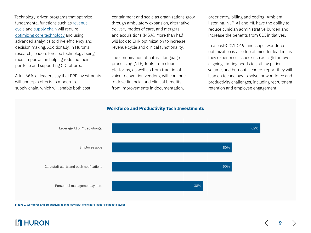Technology-driven programs that optimize fundamental functions such as [revenue](https://www.huronconsultinggroup.com/insights/collaborations-essential-financial-future-healthcare) [cycle](https://www.huronconsultinggroup.com/insights/collaborations-essential-financial-future-healthcare) and [supply chain](https://www.huronconsultinggroup.com/insights/trust-cost-quality-healthcare-supply-chain) will require [optimizing core technology](https://www.huronconsultinggroup.com/insights/evolving-business-sytems-supply-chain) and using advanced analytics to drive efficiency and decision making. Additionally, in Huron's research, leaders foresee technology being most important in helping redefine their portfolio and supporting CDI efforts.

A full 66% of leaders say that ERP investments will underpin efforts to modernize supply chain, which will enable both cost

containment and scale as organizations grow through ambulatory expansion, alternative delivery modes of care, and mergers and acquisitions (M&A). More than half will look to EHR optimization to increase revenue cycle and clinical functionality.

The combination of natural language processing (NLP) tools from cloud platforms, as well as from traditional voice recognition vendors, will continue to drive financial and clinical benefits from improvements in documentation,

order entry, billing and coding. Ambient listening, NLP, AI and ML have the ability to reduce clinician administrative burden and increase the benefits from CDI initiatives.

In a post-COVID-19 landscape, workforce optimization is also top of mind for leaders as they experience issues such as high turnover, aligning staffing needs to shifting patient volume, and burnout. Leaders report they will lean on technology to solve for workforce and productivity challenges, including recruitment, retention and employee engagement.

**9**



**Figure 7.** Workforce and productivity technology solutions where leaders expect to invest

## **HI HURON**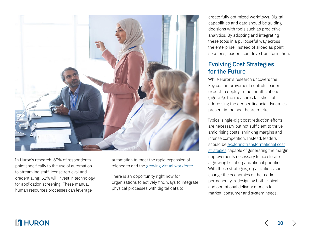

In Huron's research, 65% of respondents point specifically to the use of automation to streamline staff license retrieval and credentialing; 62% will invest in technology for application screening. These manual human resources processes can leverage

automation to meet the rapid expansion of telehealth and the [growing virtual workforce](https://www.huronconsultinggroup.com/insights/going-virtual-transforming-healthcare-operations).

There is an opportunity right now for organizations to actively find ways to integrate physical processes with digital data to

create fully optimized workflows. Digital capabilities and data should be guiding decisions with tools such as predictive analytics. By adopting and integrating these tools in a purposeful way across the enterprise, instead of siloed as point solutions, leaders can drive transformation.

### Evolving Cost Strategies for the Future

While Huron's research uncovers the key cost improvement controls leaders expect to deploy in the months ahead (figure 6), the measures fall short of addressing the deeper financial dynamics present in the healthcare market.

Typical single-digit cost reduction efforts are necessary but not sufficient to thrive amid rising costs, shrinking margins and intense competition. Instead, leaders should be [exploring transformational cost](https://www.huronconsultinggroup.com/insights/cost-transformation-future-of-healthcare) [strategies](https://www.huronconsultinggroup.com/insights/cost-transformation-future-of-healthcare) capable of generating the margin improvements necessary to accelerate a growing list of organizational priorities. With these strategies, organizations can change the economics of the market permanently, redesigning both clinical and operational delivery models for market, consumer and system needs.

## **L'I** HURON

**10**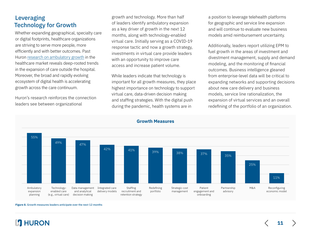#### Leveraging Technology for Growth

Whether expanding geographical, specialty care or digital footprints, healthcare organizations are striving to serve more people, more efficiently and with better outcomes. Past Huron [research on ambulatory growth](https://www.huronconsultinggroup.com/insights/ambulatory-care-growth) in the healthcare market reveals deep-rooted trends in the expansion of care outside the hospital. Moreover, the broad and rapidly evolving ecosystem of digital health is accelerating growth across the care continuum.

Huron's research reinforces the connection leaders see between organizational

growth and technology. More than half of leaders identify ambulatory expansion as a key driver of growth in the next 12 months, along with technology-enabled virtual care. Initially serving as a COVID-19 response tactic and now a growth strategy, investments in virtual care provide leaders with an opportunity to improve care access and increase patient volume.

While leaders indicate that technology is important for all growth measures, they place highest importance on technology to support virtual care, data-driven decision making and staffing strategies. With the digital push during the pandemic, health systems are in

a position to leverage telehealth platforms for geographic and service line expansion and will continue to evaluate new business models amid reimbursement uncertainty.

Additionally, leaders report utilizing EPM to fuel growth in the areas of investment and divestment management, supply and demand modeling, and the monitoring of financial outcomes. Business intelligence gleaned from enterprise-level data will be critical to expanding networks and supporting decisions about new care delivery and business models, service line rationalization, the expansion of virtual services and an overall redefining of the portfolio of an organization.



**Figure 8.** Growth measures leaders anticipate over the next 12 months

# **HI HURON**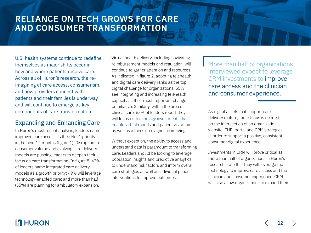# **RELIANCE ON TECH GROWS FOR CARE AND CONSUMER TRANSFORMATION**

U.S. health systems continue to redefine themselves as major shifts occur in how and where patients receive care. Across all of Huron's research, the reimagining of care access, consumerism, and how providers connect with patients and their families is underway and will continue to emerge as key components of care transformation.

#### Expanding and Enhancing Care

In Huron's most recent analysis, leaders name improved care access as their No. 1 priority in the next 12 months (figure 1). Disruption to consumer volume and evolving care delivery models are pushing leaders to deepen their focus on care transformation. In figure 8, 42% of leaders name integrated care delivery models as a growth priority; 49% will leverage technology-enabled care; and more than half (55%) are planning for ambulatory expansion.

Virtual health delivery, including navigating reimbursement models and regulation, will continue to garner attention and resources. As indicated in figure 2, adopting telehealth and digital care delivery ranks as the top digital challenge for organizations; 55% see integrating and increasing telehealth capacity as their most important change or initiative. Similarly, within the area of clinical care, 63% of leaders report they will focus on [technology investments that](https://www.huronconsultinggroup.com/expertise/digital-technology-analytics-healthcare/rounding-software) [enable virtual rounds](https://www.huronconsultinggroup.com/expertise/digital-technology-analytics-healthcare/rounding-software) and patient visitation as well as a focus on diagnostic imaging.

Without exception, the ability to access and understand data is paramount to transforming care. Leaders should be looking to leverage population insights and predictive analytics to understand risk factors and inform overall care strategies as well as individual patient interventions to improve outcomes.

**More than half of organizations** interviewed expect to leverage CRM investments to improve care access and the clinician and consumer experience.

As digital assets that support care delivery mature, more focus is needed on the intersection of an organization's website, EHR, portal and CRM strategies in order to support a positive, consistent consumer digital experience.

Investments in CRM will prove critical as more than half of organizations in Huron's research state that they will leverage the technology to improve care access and the clinician and consumer experience. CRM will also allow organizations to expand their

**12**

### **17 HURON**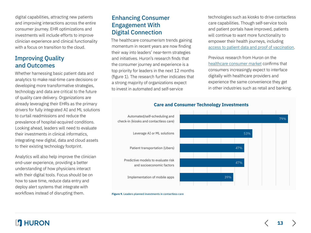digital capabilities, attracting new patients and improving interactions across the entire consumer journey. EHR optimizations and investments will include efforts to improve clinician experience and clinical functionality with a focus on transition to the cloud.

### Improving Quality and Outcomes

Whether harnessing basic patient data and analytics to make real-time care decisions or developing more transformative strategies, technology and data are critical to the future of quality care delivery. Organizations are already leveraging their EHRs as the primary drivers for fully integrated AI and ML solutions to curtail readmissions and reduce the prevalence of hospital-acquired conditions. Looking ahead, leaders will need to evaluate their investments in clinical informatics, integrating new digital, data and cloud assets to their existing technology footprint.

Analytics will also help improve the clinician end-user experience, providing a better understanding of how physicians interact with their digital tools. Focus should be on how to save time, reduce data entry and deploy alert systems that integrate with workflows instead of disrupting them.

### Enhancing Consumer Engagement With Digital Connection

The healthcare consumerism trends gaining momentum in recent years are now finding their way into leaders' near-term strategies and initiatives. Huron's research finds that the consumer journey and experience is a top priority for leaders in the next 12 months (figure 1). The research further indicates that a strong majority of organizations expect to invest in automated and self-service

technologies such as kiosks to drive contactless care capabilities. Though self-service tools and patient portals have improved, patients will continue to want more functionality to empower their health journeys, including [access to patient data and proof of vaccination.](https://patientengagementhit.com/news/more-orgs-add-digital-vaccine-credentialing-patient-data-access)

Previous research from Huron on the [healthcare consumer market](https://www.huronconsultinggroup.com/insights/healthcare-consumer-market-report) confirms that consumers increasingly expect to interface digitally with healthcare providers and experience the same convenience they get in other industries such as retail and banking.

**13**



#### **Care and Consumer Technology Investments**

**Figure 9.** Leaders planned investments in contactless care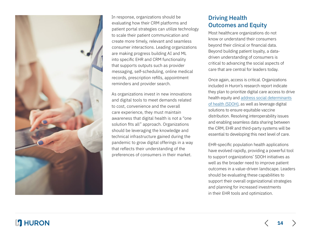

In response, organizations should be evaluating how their CRM platforms and patient portal strategies can utilize technology to scale their patient communication and create more timely, relevant and seamless consumer interactions. Leading organizations are making progress building AI and ML into specific EHR and CRM functionality that supports outputs such as provider messaging, self-scheduling, online medical records, prescription refills, appointment reminders and provider search.

As organizations invest in new innovations and digital tools to meet demands related to cost, convenience and the overall care experience, they must maintain awareness that digital health is not a "one solution fits all" approach. Organizations should be leveraging the knowledge and technical infrastructure gained during the pandemic to grow digital offerings in a way that reflects their understanding of the preferences of consumers in their market.

#### Driving Health Outcomes and Equity

Most healthcare organizations do not know or understand their consumers beyond their clinical or financial data. Beyond building patient loyalty, a datadriven understanding of consumers is critical to advancing the social aspects of care that are central for leaders today.

Once again, access is critical. Organizations included in Huron's research report indicate they plan to prioritize digital care access to drive health equity and [address social determinants](https://www.huronconsultinggroup.com/insights/social-determinants-of-health-consumer-insights) [of health \(SDOH\)](https://www.huronconsultinggroup.com/insights/social-determinants-of-health-consumer-insights), as well as leverage digital solutions to ensure equitable vaccine distribution. Resolving interoperability issues and enabling seamless data sharing between the CRM, EHR and third-party systems will be essential to developing this next level of care.

EHR-specific population health applications have evolved rapidly, providing a powerful tool to support organizations' SDOH initiatives as well as the broader need to improve patient outcomes in a value-driven landscape. Leaders should be evaluating these capabilities to support their overall organizational strategies and planning for increased investments in their EHR tools and optimization.

### **L'I** HURON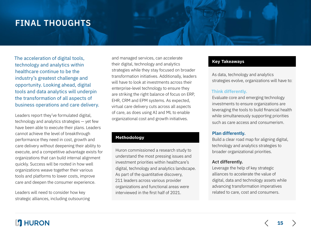# **FINAL THOUGHTS**

The acceleration of digital tools, technology and analytics within healthcare continue to be the industry's greatest challenge and opportunity. Looking ahead, digital tools and data analytics will underpin the transformation of all aspects of business operations and care delivery.

Leaders report they've formulated digital, technology and analytics strategies — yet few have been able to execute their plans. Leaders cannot achieve the level of breakthrough performance they need in cost, growth and care delivery without deepening their ability to execute, and a competitive advantage exists for organizations that can build internal alignment quickly. Success will be rooted in how well organizations weave together their various tools and platforms to lower costs, improve care and deepen the consumer experience.

Leaders will need to consider how key strategic alliances, including outsourcing

and managed services, can accelerate their digital, technology and analytics strategies while they stay focused on broader transformation initiatives. Additionally, leaders will have to look at investments across their enterprise-level technology to ensure they are striking the right balance of focus on ERP, EHR, CRM and EPM systems. As expected, virtual care delivery cuts across all aspects of care, as does using AI and ML to enable organizational cost and growth initiatives.

#### **Methodology**

Huron commissioned a research study to understand the most pressing issues and investment priorities within healthcare's digital, technology and analytics landscape. As part of the quantitative discovery, 211 leaders across various provider organizations and functional areas were interviewed in the first half of 2021.

#### **Key Takeaways**

As data, technology and analytics strategies evolve, organizations will have to:

#### **Think differently.**

Evaluate core and emerging technology investments to ensure organizations are leveraging the tools to build financial health while simultaneously supporting priorities such as care access and consumerism.

#### **Plan differently.**

Build a clear road map for aligning digital, technology and analytics strategies to broader organizational priorities.

#### **Act differently.**

Leverage the help of key strategic alliances to accelerate the value of digital, data and technology assets while advancing transformation imperatives related to care, cost and consumers.

**15**